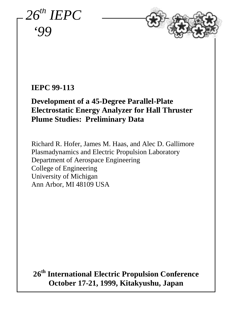*26th IEPC '99*



# **IEPC 99-113**

# **Development of a 45-Degree Parallel-Plate Electrostatic Energy Analyzer for Hall Thruster Plume Studies: Preliminary Data**

Richard R. Hofer, James M. Haas, and Alec D. Gallimore Plasmadynamics and Electric Propulsion Laboratory Department of Aerospace Engineering College of Engineering University of Michigan Ann Arbor, MI 48109 USA

**26th International Electric Propulsion Conference October 17-21, 1999, Kitakyushu, Japan**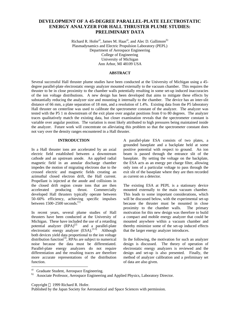# **DEVELOPMENT OF A 45-DEGREE PARALLEL-PLATE ELECTROSTATIC ENERGY ANALYZER FOR HALL THRUSTER PLUME STUDIES: PRELIMINARY DATA**

Richard R. Hofer<sup>a</sup>, James M. Haas<sup>a</sup>, and Alec D. Gallimore<sup>b)</sup> Plasmadynamics and Electric Propulsion Laboratory (PEPL) Department of Aerospace Engineering College of Engineering University of Michigan Ann Arbor, MI 48109 USA

## **ABSTRACT**

Several successful Hall thruster plume studies have been conducted at the University of Michigan using a 45 degree parallel-plate electrostatic energy analyzer mounted externally to the vacuum chamber. This requires the thruster to be in close proximity to the chamber walls potentially resulting in some set-up induced inaccuracies of the ion voltage distributions. A new design has been developed that aims to mitigate these effects by substantially reducing the analyzer size and mounting it internally to the chamber. The device has an inter-slit distance of 66 mm, a plate separation of 18 mm, and a resolution of 1.4%. Existing data from the P5 laboratory Hall thruster on centerline was used to calibrate the spectrometer constant of the analyzer. The analyzer was tested with the P5 1 m downstream of the exit plane over angular positions from 0 to 80 degrees. The analyzer traces qualitatively match the existing data, but closer examination reveals that the spectrometer constant is variable over angular position. The variation is most likely attributed to high pressures being maintained inside the analyzer. Future work will concentrate on alleviating this problem so that the spectrometer constant does not vary over the density ranges encountered in a Hall thruster.

#### **INTRODUCTION**

In a Hall thruster ions are accelerated by an axial electric field established between a downstream cathode and an upstream anode. An applied radial magnetic field in an annular discharge chamber impedes the motion of migrating electrons due to the crossed electric and magnetic fields creating an azimuthal closed electron drift, the Hall current. Propellant is injected at the anode and collisions in the closed drift region create ions that are then accelerated producing thrust. Commercially developed Hall thrusters typically operate between 50–60% efficiency, achieving specific impulses between 1500–2500 seconds.[1]

In recent years, several plume studies of Hall thrusters have been conducted at the University of Michigan. These have included the use of a retarding potential analyzer  $(RPA)^{[2]}$  and a parallel-plate electrostatic energy analyzer (ESA).<sup>[3-5]</sup> Although both devices yield data proportional to the ion voltage distribution function<sup>[3]</sup>, RPAs are subject to numerical noise because the data must be differentiated. Parallel-plate energy analyzers do not require differentiation and the resulting traces are therefore more accurate representations of the distribution function.

A parallel-plate ESA consists of two plates, a grounded baseplate and a backplate held at some positive potential with respect to ground. An ion beam is passed through the entrance slit of the baseplate. By setting the voltage on the backplate, the ESA acts as an energy per charge filter, allowing only ions of a particular voltage to pass through the exit slit of the baseplate where they are then recorded as current on a detector.

The existing ESA at PEPL is a stationary device mounted externally to the main vacuum chamber. This leads to some important considerations, which will be discussed below, with the experimental set-up because the thruster must be mounted in close proximity to the chamber walls. The primary motivation for this new design was therefore to build a compact and mobile energy analyzer that could be mounted anywhere within a vacuum chamber and thereby minimize some of the set-up induced effects that the larger energy analyzer introduces.

In the following, the motivation for such an analyzer design is discussed. The theory of operation of electrostatic energy analyzers is reviewed and the design and set-up is also presented. Finally, the method of analyzer calibration and a preliminary set of data are also given.

Copyright  $\odot$  1999 Richard R. Hofer.

Published by the Japan Society for Aeronautical and Space Sciences with permission.

a) <sup>a)</sup> Graduate Student, Aerospace Engineering.<br>  $\frac{b}{c}$  Associate Professor, Aerospace Engineering.

Associate Professor, Aerospace Engineering and Applied Physics, Laboratory Director.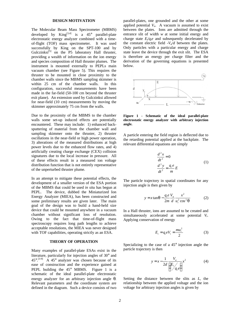#### **DESIGN MOTIVATION**

The Molecular Beam Mass Spectrometer (MBMS) developed by  $King^{[3,4]}$  is a 45° parallel-plate electrostatic energy analyzer combined with a timeof-flight (TOF) mass spectrometer. It was used successfully by King on the SPT-100 and by Gulczinksi<sup>[5]</sup> on the P5 laboratory Hall thruster, providing a wealth of information on the ion energy and species composition of Hall thruster plumes. The instrument is mounted externally to PEPLs main vacuum chamber (see Figure 5). This requires the thruster to be mounted in close proximity to the chamber walls since the MBMS sampling skimmer is within 25 cm of the chamber walls. In this configuration, successful measurements have been made in the far-field (50-100 cm beyond the thruster exit plane). An extension used by Gulczinksi allowed for near-field (10 cm) measurements by moving the skimmer approximately 75 cm from the walls.

Due to the proximity of the MBMS to the chamber walls some set-up induced effects are potentially encountered. These may include: 1) enhanced backsputtering of material from the chamber wall and sampling skimmer onto the thruster, 2) thruster oscillations in the near-field or high power operation, 3) alterations of the measured distributions at high power levels due to the enhanced flow rates, and 4) artificially creating charge exchange (CEX) collision signatures due to the local increase in pressure. All of these effects result in a measured ion voltage distribution function that is not entirely representative of the unperturbed thruster plume.

In an attempt to mitigate these potential effects, the development of a smaller version of the ESA portion of the MBMS that could be used *in situ* has begun at PEPL. The device, dubbed the Miniaturized Ion Energy Analyzer (MIEA), has been constructed and some preliminary results are given later. The main goal of the design was to build a hand-held size device that could be mounted anywhere in a vacuum chamber without significant loss of resolution. Owing to the fact that time-of-flight mass spectroscopy requires long path lengths to achieve acceptable resolutions, the MIEA was never designed with TOF capabilities, operating strictly as an ESA.

#### **THEORY OF OPERATION**

Many examples of parallel-plate ESAs exist in the literature, particularly for injection angles of 30° and  $45^{\circ}$ . <sup>[3-9]</sup> A 45<sup>°</sup> analyzer was chosen because of its ease of construction and the experience gained at PEPL building the 45° MBMS. Figure 1 is a schematic of the ideal parallel-plate electrostatic energy analyzer for an arbitrary injection angle *q*. Relevant parameters and the coordinate system are defined in the diagram. Such a device consists of two parallel-plates, one grounded and the other at some applied potential  $V_a$ . A vacuum is assumed to exist between the plates. Ions are admitted through the entrance slit of width *w* at some initial energy and charge state  $E_i/q_i e$  and subsequently decelerated by the constant electric field  $-V<sub>a</sub>/d$  between the plates. Only particles with a particular energy and charge state leave the device through the exit slit. The ESA is therefore an energy per charge filter and the derivation of the governing equations is presented below.



**Figure 1 - Schematic of the ideal parallel-plate electrostatic energy analyzer with arbitrary injection angle.**

A particle entering the field region is deflected due to the retarding potential applied at the backplate. The relevant differential equations are simply

$$
\frac{d^2x}{dt^2} = 0
$$
  

$$
\frac{d^2y}{dt^2} = \frac{q_ie}{m}E
$$
 (1)

The particle trajectory in spatial coordinates for any injection angle is then given by

$$
y = x \tan \boldsymbol{q} - \frac{q_i e}{2m} \frac{V_a}{d} \frac{x^2}{u_i^2 \cos^2 \boldsymbol{q}}
$$
 (2)

In a Hall thruster, ions are assumed to be created and simultaneously accelerated at some potential *V<sup>i</sup> .* Applying conservation of energy

$$
E_i = q_i e V_i = \frac{m u_i^2}{2} \tag{3}
$$

Specializing to the case of a 45° injection angle the particle trajectory is then

$$
y = x - \frac{1}{2d} \frac{V_a}{\left(\frac{E_i}{q_i e}\right)} x^2
$$
 (4)

Setting the distance between the slits as *L*, the relationship between the applied voltage and the ion voltage for arbitrary injection angles is given by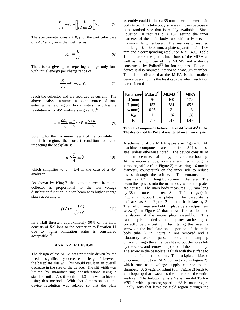$$
\frac{E_i}{q_i e} = V_i = \left(\frac{L}{2d \sin 2\mathbf{q}}\right) V_a \tag{5}
$$

The spectrometer constant *K45* for the particular case of a 45° analyzer is then defined as

$$
K_{45} \equiv \frac{L}{2d} \tag{6}
$$

Thus, for a given plate repelling voltage only ions with initial energy per charge ratios of

$$
\frac{E_i}{q_i e} = V_i = K_{45} V_a \tag{7}
$$

reach the collector and are recorded as current. The above analysis assumes a point source of ions entering the field region. For a finite slit width *w* the resolution *R* for 45 $^{\circ}$  analyzers is given by<sup>[9]</sup>

$$
R \equiv \frac{\Delta E_i}{E_i} = \frac{w}{L} \sin q = \frac{\sqrt{2}w}{2L}
$$
 (9)

Solving for the maximum height of the ion while in the field region, the correct condition to avoid impacting the backplate is

$$
d > \frac{L}{4} \tan \mathbf{q} \tag{10}
$$

which simplifies to  $d > L/4$  in the case of a 45° analyzer.

As shown by  $King^{[3]}$ , the output current from the collector is proportional to the ion voltage distribution function in a ion beam with higher charge states according to

$$
f(V_i) \propto \frac{I_i(V_i)}{\sqrt{q_i eV_i}}\tag{11}
$$

In a Hall thruster, approximately 90% of the flow consists of Xe<sup>+</sup> ions so the correction to Equation 11 due to higher ionization states is considered acceptable.<sup>[3]</sup>

# **ANALYZER DESIGN**

The design of the MIEA was primarily driven by the need to significantly decrease the length *L* between the baseplate slits *w*. This would result in an overall decrease in the size of the device. The slit width was limited by manufacturing considerations using a standard mill. A slit width of 1.3 mm was achieved using this method. With that dimension set, the device resolution was relaxed so that the plate assembly could fit into a 35 mm inner diameter main body tube. This tube body size was chosen because it is a standard size that is readily available. Since Equation 10 requires  $d > L/4$ , setting the inner diameter of the main body tube ultimately sets the maximum length allowed. The final design resulted in a length  $L = 65.6$  mm, a plate separation  $d = 17.6$ mm and a corresponding resolution  $R = 1.4\%$ . Table 1 summarizes the plate dimensions of the MIEA as well as listing those of the MBMS and a device constructed by Pollard<sup>[9]</sup> for ion engines. Pollard's device is also mounted interior to a vacuum chamber. The table indicates that the MIEA is the smallest device overall but is the least capable when resolution is considered.

| Parameter         | Pollard <sup>[9]</sup> | MBMS <sup>[3,4]</sup> | MIEA |
|-------------------|------------------------|-----------------------|------|
| $d$ (mm)          | 76                     | 160                   | 17.6 |
| $L$ (mm)          | 152                    | 584                   | 65.6 |
| $w$ (mm)          | 0.25                   | 3                     | 1.3  |
| $\mathbf{K}_{45}$ |                        | 1.82                  | 1.86 |
| R                 | $0.1\%$                | 0.4%                  | 1.4% |

**Table 1 - Comparison between three different 45**° **ESAs. The device used by Pollard was tested on an ion engine.**

A schematic of the MIEA appears in Figure 2. All machined components are made from 304 stainless steel unless otherwise noted. The device consists of the entrance tube, main body, and collector housing. At the entrance tube, ions are admitted through a sampling orifice (9 in Figure 2) measuring 1.6 mm in diameter, countersunk on the inner side to reduce losses through the orifice. The entrance tube measures 102 mm long by 25 mm in diameter. The beam then passes into the main body where the plates are housed. The main body measures 230 mm long by 38 mm outer diameter. Solid Teflon rings (4 in Figure 2) support the plates. The baseplate is indicated as 8 in Figure 2 and the backplate by 3. The Teflon rings are held in place by an adjustment screw (1 in Figure 2) that allows for rotation and translation of the entire plate assembly. This capability is included so that the plates can be aligned correctly before testing. Facilitating this need, a screw on the backplate and a portion of the main body tube (2 in Figure 2) are removed and a laboratory laser is passed through the sampling orifice, through the entrance slit and out the holes left by the screw and removable portion of the main body. The screw in the baseplate is flush with the surface to minimize field perturbations. The backplate is biased by connecting it to an SHV connector (5 in Figure 2), which runs to a voltage supply exterior to the chamber. A Swagelok fitting (6 in Figure 2) leads to a turbopump that evacuates the interior of the entire analyzer. The turbopump is a Varian model Turbo-V70LP with a pumping speed of 68 l/s on nitrogen. Finally, ions that leave the field region through the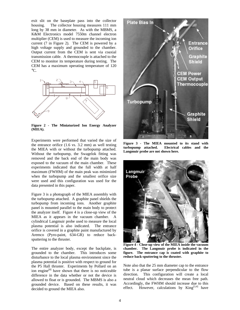exit slit on the baseplate pass into the collector housing. The collector housing measures 111 mm long by 38 mm in diameter. As with the MBMS, a K&M Electronics model 7550m channel electron multiplier (CEM) is used to measure the incoming ion current (7 in Figure 2). The CEM is powered by a high voltage supply and grounded to the chamber. Output current from the CEM is sent via coaxial transmission cable. A thermocouple is attached to the CEM to monitor its temperature during testing. The CEM has a maximum operating temperature of 120  $\rm ^{\circ}C.$ 



**Figure 2 - The Miniaturized Ion Energy Analyzer (MIEA).**

Experiments were performed that varied the size of the entrance orifice (1.6 vs. 3.2 mm) as well testing the MIEA with or without the turbopump attached. Without the turbopump, the Swagelok fitting was removed and the back end of the main body was exposed to the vacuum of the main chamber. These experiments indicated that the full width at half maximum (FWHM) of the main peak was minimized when the turbopump and the smallest orifice size were used and this configuration was used for the data presented in this paper.

Figure 3 is a photograph of the MIEA assembly with the turbopump attached. A graphite panel shields the turbopump from incoming ions. Another graphite panel is mounted parallel to the main body to protect the analyzer itself. Figure 4 is a close-up view of the MIEA as it appears in the vacuum chamber. A cylindrical Langmuir probe used to measure the local plasma potential is also indicated. The entrance orifice is covered in a graphite paint manufactured by Aremco (Pyro-paint, 634-GR) to reduce backsputtering to the thruster.

The entire analyzer body, except the backplate, is grounded to the chamber. This introduces some disturbance to the local plasma environment since the plasma potential is positive with respect to ground for the P5 Hall thruster. Experiments by Pollard on an ion engine $^{[8]}$  have shown that there is no noticeable difference in the data whether or not the device is allowed to float or is grounded. The MBMS is also a grounded device. Based on these results, it was decided to ground the MIEA also.



**Figure 3 - The MIEA mounted to its stand with turbopump attached. Electrical cables and the Langmuir probe are not shown here.**



**Figure 4 - Close-up view of the MIEA inside the vacuum chamber. The Langmuir probe is indicated in the figure. The entrance cap is coated with graphite to reduce back-sputtering to the thruster.**

Note also that the 25 mm diameter cap to the entrance tube is a planar surface perpendicular to the flow direction. This configuration will create a local neutral cloud which decreases the mean free path. Accordingly, the FWHM should increase due to this effect. However, calculations by  $King^{[3,4]}$  have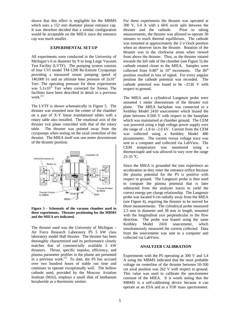shown that this effect is negligible for the MBMS which uses a 152 mm diameter planar entrance cap. It was therefore decided that a similar configuration would be acceptable on the MIEA since the entrance cap was much smaller.

### **EXPERIMENTAL SET-UP**

All experiments were conducted in the University of Michigan's 6 m diameter by 9 m long Large Vacuum Test Facility (LVTF). The pumping system consists of four CVI model TM-1200 Re-Entrant Cryopumps providing a measured xenon pumping speed of 140,000 l/s and an ultimate base pressure of  $2x10^{-7}$ Torr. The operating pressure for these experiments was  $5.1x10^{-6}$  Torr when corrected for Xenon. The facilities have been described in detail in a previous work.<sup>[1]</sup>

The LVTF is shown schematically in Figure 5. The thruster was mounted near the center of the chamber on a pair of X-Y linear translational tables with a rotary table also installed. The rotational axis of the thruster exit plane coincided with that of the rotary table. The thruster was pointed away from the cryopumps when testing on the axial centerline of the thruster. The MIEA itself was one meter downstream of the thruster position.



**Figure 5 - Schematic of the vacuum chamber used in these experiments. Thruster positioning for the MBMS and the MIEA are indicated.**

The thruster used was the University of Michigan – Air Force Research Laboratory P5 5 kW class laboratory model Hall thruster. The thruster has been thoroughly characterized and its performance closely matches that of commercially available 5 kW thrusters. Thrust, specific impulse, efficiency, and plasma parameter profiles in the plume are presented in a previous work.<sup>[1]</sup> To date, the P5 has accrued over two hundred hours of stable run time and continues to operate exceptionally well. The hollow cathode used, provided by the Moscow Aviation Institute (MAI), employs a small disk of lanthanum hexaboride as a thermionic emitter.

For these experiments the thruster was operated at 300 V, 5.4 A with a 60/6 sccm split between the thruster and the cathode. Prior to taking measurements, the thruster was allowed to operate 30 minutes to reach thermal equilibrium. The cathode was mounted at approximately the 2 o'clock position when an observer faces the thruster. Rotation of the thruster was in the clockwise sense when viewed from above the thruster. Thus, as the thruster rotated towards the left side of the chamber (see Figure 5) the cathode rotated closer to the MIEA. Samples were collected from 0-80° in 10° increments. The 80° position resulted in loss of signal. For every angular position the cathode potential was recorded. The cathode potential was found to be  $-21\pm1$  V with respect to ground.

The MIEA and a cylindrical Langmuir probe were mounted 1 meter downstream of the thruster exit plane. The MIEA backplate was connected to a Keithley Model 2410 sourcemeter which biased the plate between 0-500 V with respect to the baseplate which was maintained at chamber ground. The CEM was powered using a high voltage power supply over the range of  $-1.8$  to  $-2.0$  kV. Current from the CEM was collected using a Keithley Model 486 picoammeter. The current versus voltage trace was sent to a computer and collected via LabView. The CEM temperature was monitored using a thermocouple and was allowed to vary over the range 25-35 °C.

Since the MIEA is grounded the ions experience an acceleration as they enter the entrance orifice because the plasma potential for the P5 is positive with respect to ground. The Langmuir probe is then used to compute the plasma potential that is later subtracted from the analyzer traces to yield the correct energy per charge relationship. The Langmuir probe was located 6 cm radially away from the MIEA (see Figure 4), requiring the thruster to be moved for those measurements. The cylindrical probe measured 2.5 mm in diameter and 38 mm in length, mounted with the longitudinal axis perpendicular to the flow direction. The probe was biased using the same Keithley Model 2410 sourcemeter, which simultaneously measured the current collected. Data from the sourcemeter was sent to a computer and collected via LabView.

#### **ANALYZER CALIBRATION**

Experiments with the P5 operating at 300 V and 5.4 A using the MBMS indicated that the most probable voltage on centerline of the thruster between 50-100 cm axial position was 262 V with respect to ground. This value was used to calibrate the spectrometer constant of the MIEA. It is worth noting that the MBMS is a self-calibrating device because it can operate as an ESA and as a TOF mass spectrometer.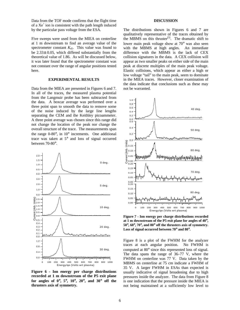Data from the TOF mode confirms that the flight time of a  $Xe^+$  ion is consistent with the path length induced by the particular pass voltage from the ESA.

Five sweeps were used from the MIEA on centerline at 1 m downstream to find an average value of the spectrometer constant *K45*. This value was found to be 2.33± 0.05, which differed substantially from the theoretical value of 1.86. As will be discussed below, it was later found that the spectrometer constant was not constant over the range of angular positions tested here.

## **EXPERIMENTAL RESULTS**

Data from the MIEA are presented in Figures 6 and 7. In all of the traces, the measured plasma potential from the Langmuir probe has been subtracted from the data. A boxcar average was performed over a three point span to smooth the data to remove some of the noise induced by the large line lengths separating the CEM and the Keithley picoammeter. A three point average was chosen since this range did not change the location of the peak nor change the overall structure of the trace. The measurements span the range 0-80°, in 10° increments. One additional trace was taken at 5° and loss of signal occurred between 70-80°.



**Figure 6 - Ion energy per charge distributions recorded at 1 m downstream of the P5 exit plane for angles of 0**°**, 5**°**, 10**°**, 20**°**, and 30**° **off the thrusters axis of symmetry.**

#### **DISCUSSION**

The distributions shown in Figures 6 and 7 are qualitatively representative of the traces obtained by the MBMS on this thruster<sup>[5]</sup>. The dramatic shift to lower main peak voltage show at 70° was also seen with the MBMS at high angles. An immediate difference with the MBMS is the lack of CEX collision signatures in the data. A CEX collision will appear as two smaller peaks on either side of the main peak at discrete multiples of the main peak voltage. Elastic collisions, which appear as either a high or low voltage "tail" to the main peak, seem to dominate in the MIEA traces. However, closer examination of the data indicate that conclusions such as these may not be warranted.



**Figure 7 - Ion energy per charge distributions recorded at 1 m downstream of the P5 exit plane for angles of 40**°**, 50**°**, 60**°**, 70**°**, and 80**° **off the thrusters axis of symmetry. Loss of signal occurred between 70**° **and 80**°**.**

Figure 8 is a plot of the FWHM for the analyzer traces at each angular position. No FWHM is computed at 80° since this represented loss of signal. The data spans the range of 36–77 V, where the FWHM on centerline was 77 V. Data taken by the MBMS on centerline at 75 cm indicate a FWHM of 35 V. A larger FWHM in ESAs than expected is usually indicative of signal broadening due to high pressures inside the analyzer. The data from Figure 8 is one indication that the pressure inside the MIEA is not being maintained at a sufficiently low level to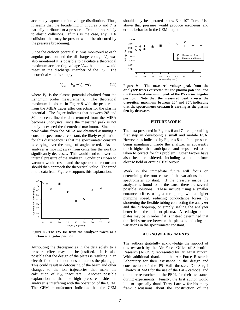accurately capture the ion voltage distribution. Thus, it seems that the broadening in Figures 6 and 7 is partially attributed to a pressure effect and not solely to elastic collisions. If this is the case, any CEX collisions that may be present would be obscured by the pressure broadening.

Since the cathode potential  $V_c$  was monitored at each angular position and the discharge voltage  $V_D$  was also monitored it is possible to calculate a theoretical maximum accelerating voltage *Vmax* that an ion would "see" in the discharge chamber of the P5. The theoretical value is simply

$$
V_{\text{max}} = V_D - |V_C| - V_P \tag{11}
$$

where  $V_p$  is the plasma potential obtained from the Langmuir probe measurements. The theoretical maximum is plotted in Figure 9 with the peak value from the MIEA traces after correcting for the plasma potential. The figure indicates that between 20º and 30° on centerline the data returned from the MIEA becomes unphysical since the measured peak is not likely to exceed the theoretical maximum. Since the peak value from the MIEA are obtained assuming a constant spectrometer constant, the likely explanation for this discrepancy is that the spectrometer constant is varying over the range of angles tested. As the analyzer is moving away from centerline the ion flux significantly decreases. This would tend to lower the internal pressure of the analyzer. Conditions closer to vacuum would result and the spectrometer constant should then approach the theoretical value. The trend in the data from Figure 9 supports this explanation.



**Figure 8 - The FWHM from the analyzer traces as a function of angular position.**

Attributing the discrepancies in the data solely to a pressure effect may not be justified. It is also possible that the design of the plates is resulting in an electric field that is not constant across the plate gap. This could result in defocusing of the beam and other changes to the ion trajectories that make the calculation of  $K_{45}$  inaccurate. Another possible explanation is that the high pressure inside the analyzer is interfering with the operation of the CEM. The CEM manufacturer indicates that the CEM should only be operated below  $3 \times 10^{-4}$  Torr. Use above that pressure would produce erroneous and erratic behavior in the CEM output.



**Figure 9 - The measured voltage peak from the analyzer traces corrected for the plasma potential and the theoretical maximum peak of the P5 versus angular position. Note that the measured peak crosses the theoretical maximum between 20**° **and 30**°**, indicating that the spectrometer constant is varying as the plasma density decreases.**

#### **FUTURE WORK**

The data presented in Figures 6 and 7 are a promising first step in developing a small and mobile ESA. However, as indicated by Figures 8 and 9 the pressure being maintained inside the analyzer is apparently much higher than anticipated and steps need to be taken to correct for this problem. Other factors have also been considered, including a non-uniform electric field or erratic CEM output.

Work in the immediate future will focus on determining the root cause of the variations in the spectrometer constant. If the pressure inside the analyzer is found to be the cause there are several possible solutions. These include using a smaller entrance orifice, using a turbopump with a higher pumping speed, reducing conductance losses by shortening the flexible tubing connecting the analyzer and the turbopump, or simply sealing the analyzer better from the ambient plasma. A redesign of the plates may be in order if it is instead determined that the field structure between the plates is inducing the variations in the spectrometer constant.

#### **ACKNOWLEDGEMENTS**

The authors gratefully acknowledge the support of this research by the Air Force Office of Scientific Research (AFOSR) represented by Dr. Mitat Birkan. With additional thanks to the Air Force Research Laboratory for their assistance in the design and construction of the P5 Hall thruster, Dr. Sergei Khartov at MAI for the use of the  $LaB<sub>6</sub>$  cathode, and the other researchers at the PEPL for their assistance during experiments. Finally, the first author would like to especially thank Terry Larrow for his many frank discussions about the construction of the